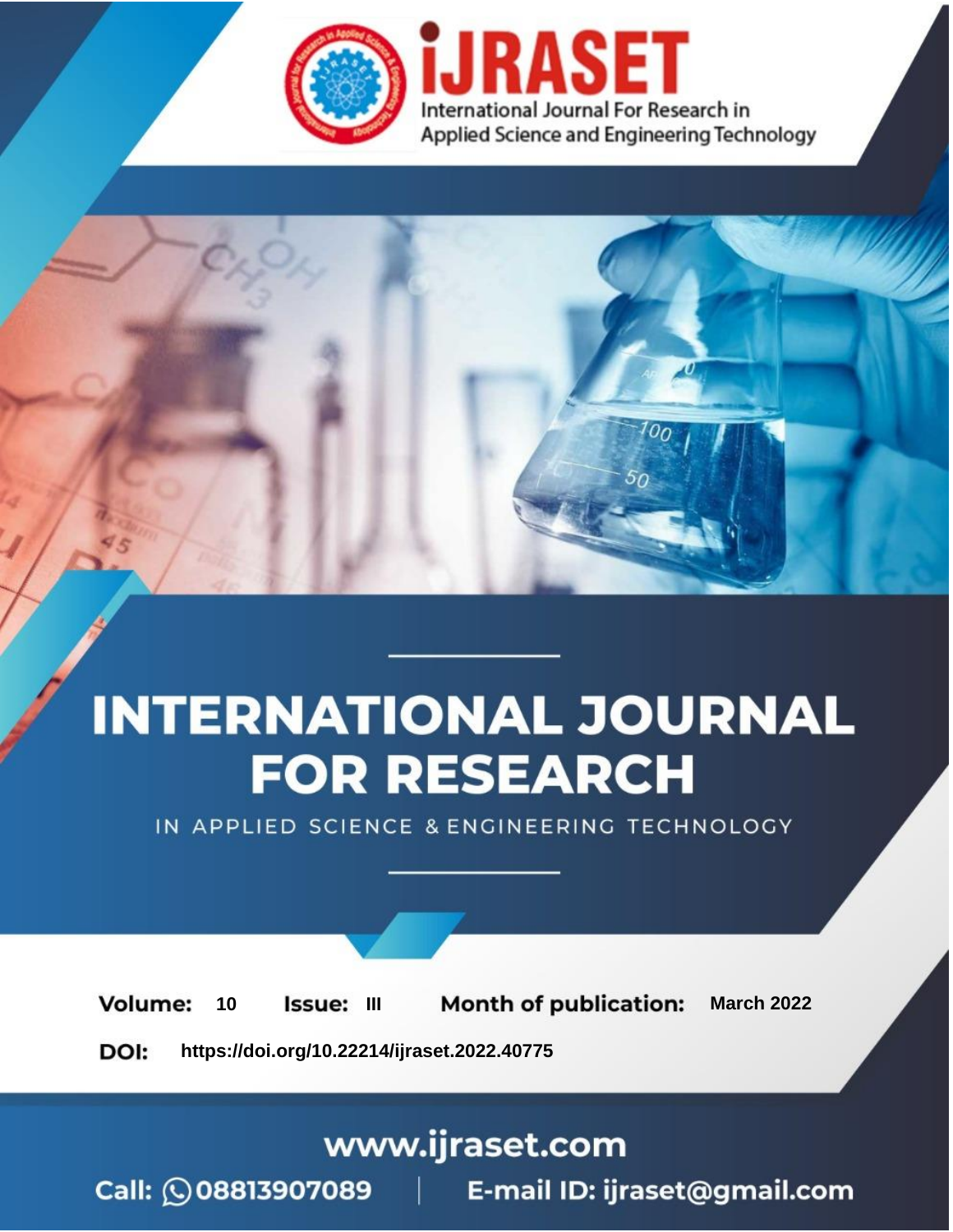

# **INTERNATIONAL JOURNAL FOR RESEARCH**

IN APPLIED SCIENCE & ENGINEERING TECHNOLOGY

**Month of publication: Volume:** 10 **Issue: III March 2022** DOI: https://doi.org/10.22214/ijraset.2022.40775

www.ijraset.com

Call: 008813907089 | E-mail ID: ijraset@gmail.com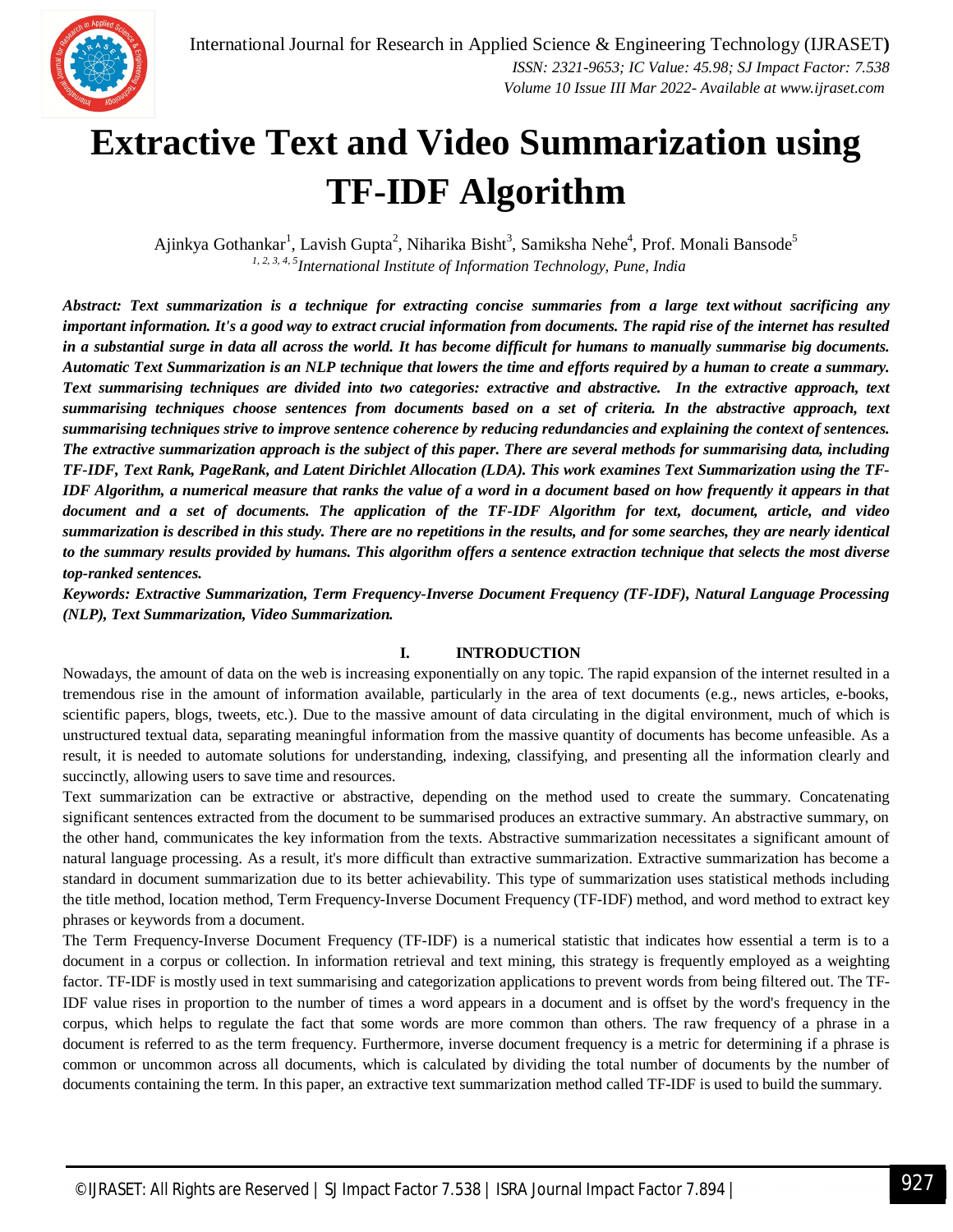

### **Extractive Text and Video Summarization using TF-IDF Algorithm**

Ajinkya Gothankar<sup>1</sup>, Lavish Gupta<sup>2</sup>, Niharika Bisht<sup>3</sup>, Samiksha Nehe<sup>4</sup>, Prof. Monali Bansode<sup>5</sup> *1, 2, 3, 4, 5International Institute of Information Technology, Pune, India*

*Abstract: Text summarization is a technique for extracting concise summaries from a large text without sacrificing any important information. It's a good way to extract crucial information from documents. The rapid rise of the internet has resulted in a substantial surge in data all across the world. It has become difficult for humans to manually summarise big documents. Automatic Text Summarization is an NLP technique that lowers the time and efforts required by a human to create a summary. Text summarising techniques are divided into two categories: extractive and abstractive. In the extractive approach, text summarising techniques choose sentences from documents based on a set of criteria. In the abstractive approach, text summarising techniques strive to improve sentence coherence by reducing redundancies and explaining the context of sentences. The extractive summarization approach is the subject of this paper. There are several methods for summarising data, including TF-IDF, Text Rank, PageRank, and Latent Dirichlet Allocation (LDA). This work examines Text Summarization using the TF-IDF Algorithm, a numerical measure that ranks the value of a word in a document based on how frequently it appears in that document and a set of documents. The application of the TF-IDF Algorithm for text, document, article, and video summarization is described in this study. There are no repetitions in the results, and for some searches, they are nearly identical to the summary results provided by humans. This algorithm offers a sentence extraction technique that selects the most diverse top-ranked sentences.*

*Keywords: Extractive Summarization, Term Frequency-Inverse Document Frequency (TF-IDF), Natural Language Processing (NLP), Text Summarization, Video Summarization.*

#### **I. INTRODUCTION**

Nowadays, the amount of data on the web is increasing exponentially on any topic. The rapid expansion of the internet resulted in a tremendous rise in the amount of information available, particularly in the area of text documents (e.g., news articles, e-books, scientific papers, blogs, tweets, etc.). Due to the massive amount of data circulating in the digital environment, much of which is unstructured textual data, separating meaningful information from the massive quantity of documents has become unfeasible. As a result, it is needed to automate solutions for understanding, indexing, classifying, and presenting all the information clearly and succinctly, allowing users to save time and resources.

Text summarization can be extractive or abstractive, depending on the method used to create the summary. Concatenating significant sentences extracted from the document to be summarised produces an extractive summary. An abstractive summary, on the other hand, communicates the key information from the texts. Abstractive summarization necessitates a significant amount of natural language processing. As a result, it's more difficult than extractive summarization. Extractive summarization has become a standard in document summarization due to its better achievability. This type of summarization uses statistical methods including the title method, location method, Term Frequency-Inverse Document Frequency (TF-IDF) method, and word method to extract key phrases or keywords from a document.

The Term Frequency-Inverse Document Frequency (TF-IDF) is a numerical statistic that indicates how essential a term is to a document in a corpus or collection. In information retrieval and text mining, this strategy is frequently employed as a weighting factor. TF-IDF is mostly used in text summarising and categorization applications to prevent words from being filtered out. The TF-IDF value rises in proportion to the number of times a word appears in a document and is offset by the word's frequency in the corpus, which helps to regulate the fact that some words are more common than others. The raw frequency of a phrase in a document is referred to as the term frequency. Furthermore, inverse document frequency is a metric for determining if a phrase is common or uncommon across all documents, which is calculated by dividing the total number of documents by the number of documents containing the term. In this paper, an extractive text summarization method called TF-IDF is used to build the summary.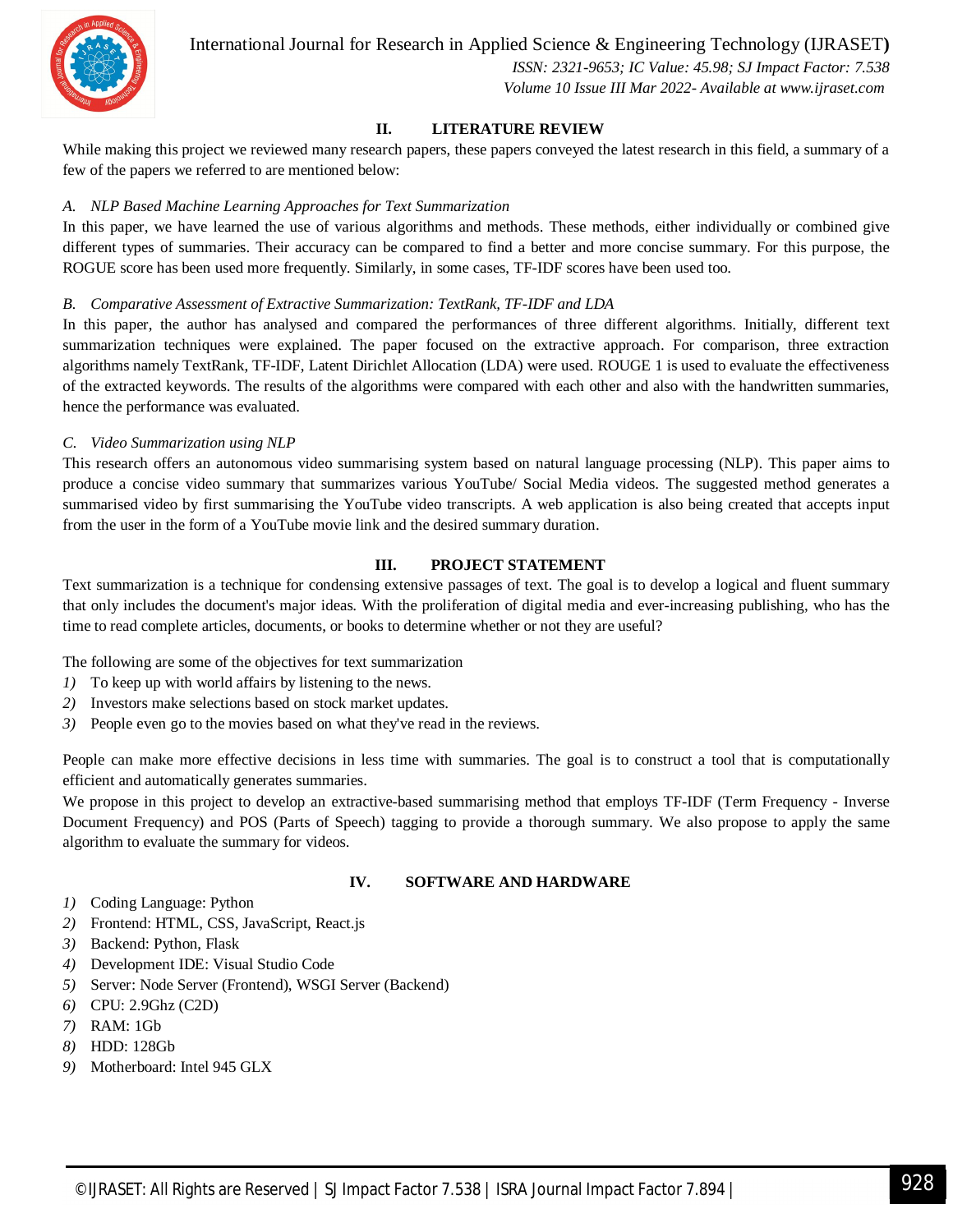

International Journal for Research in Applied Science & Engineering Technology (IJRASET**)**

 *ISSN: 2321-9653; IC Value: 45.98; SJ Impact Factor: 7.538 Volume 10 Issue III Mar 2022- Available at www.ijraset.com*

#### **II. LITERATURE REVIEW**

While making this project we reviewed many research papers, these papers conveyed the latest research in this field, a summary of a few of the papers we referred to are mentioned below:

#### *A. NLP Based Machine Learning Approaches for Text Summarization*

In this paper, we have learned the use of various algorithms and methods. These methods, either individually or combined give different types of summaries. Their accuracy can be compared to find a better and more concise summary. For this purpose, the ROGUE score has been used more frequently. Similarly, in some cases, TF-IDF scores have been used too.

#### *B. Comparative Assessment of Extractive Summarization: TextRank, TF-IDF and LDA*

In this paper, the author has analysed and compared the performances of three different algorithms. Initially, different text summarization techniques were explained. The paper focused on the extractive approach. For comparison, three extraction algorithms namely TextRank, TF-IDF, Latent Dirichlet Allocation (LDA) were used. ROUGE 1 is used to evaluate the effectiveness of the extracted keywords. The results of the algorithms were compared with each other and also with the handwritten summaries, hence the performance was evaluated.

#### *C. Video Summarization using NLP*

This research offers an autonomous video summarising system based on natural language processing (NLP). This paper aims to produce a concise video summary that summarizes various YouTube/ Social Media videos. The suggested method generates a summarised video by first summarising the YouTube video transcripts. A web application is also being created that accepts input from the user in the form of a YouTube movie link and the desired summary duration.

#### **III. PROJECT STATEMENT**

Text summarization is a technique for condensing extensive passages of text. The goal is to develop a logical and fluent summary that only includes the document's major ideas. With the proliferation of digital media and ever-increasing publishing, who has the time to read complete articles, documents, or books to determine whether or not they are useful?

The following are some of the objectives for text summarization

- *1)* To keep up with world affairs by listening to the news.
- *2)* Investors make selections based on stock market updates.
- *3)* People even go to the movies based on what they've read in the reviews.

People can make more effective decisions in less time with summaries. The goal is to construct a tool that is computationally efficient and automatically generates summaries.

We propose in this project to develop an extractive-based summarising method that employs TF-IDF (Term Frequency - Inverse Document Frequency) and POS (Parts of Speech) tagging to provide a thorough summary. We also propose to apply the same algorithm to evaluate the summary for videos.

#### **IV. SOFTWARE AND HARDWARE**

- *1)* Coding Language: Python
- *2)* Frontend: HTML, CSS, JavaScript, React.js
- *3)* Backend: Python, Flask
- *4)* Development IDE: Visual Studio Code
- *5)* Server: Node Server (Frontend), WSGI Server (Backend)
- *6)* CPU: 2.9Ghz (C2D)
- *7)* RAM: 1Gb
- *8)* HDD: 128Gb
- *9)* Motherboard: Intel 945 GLX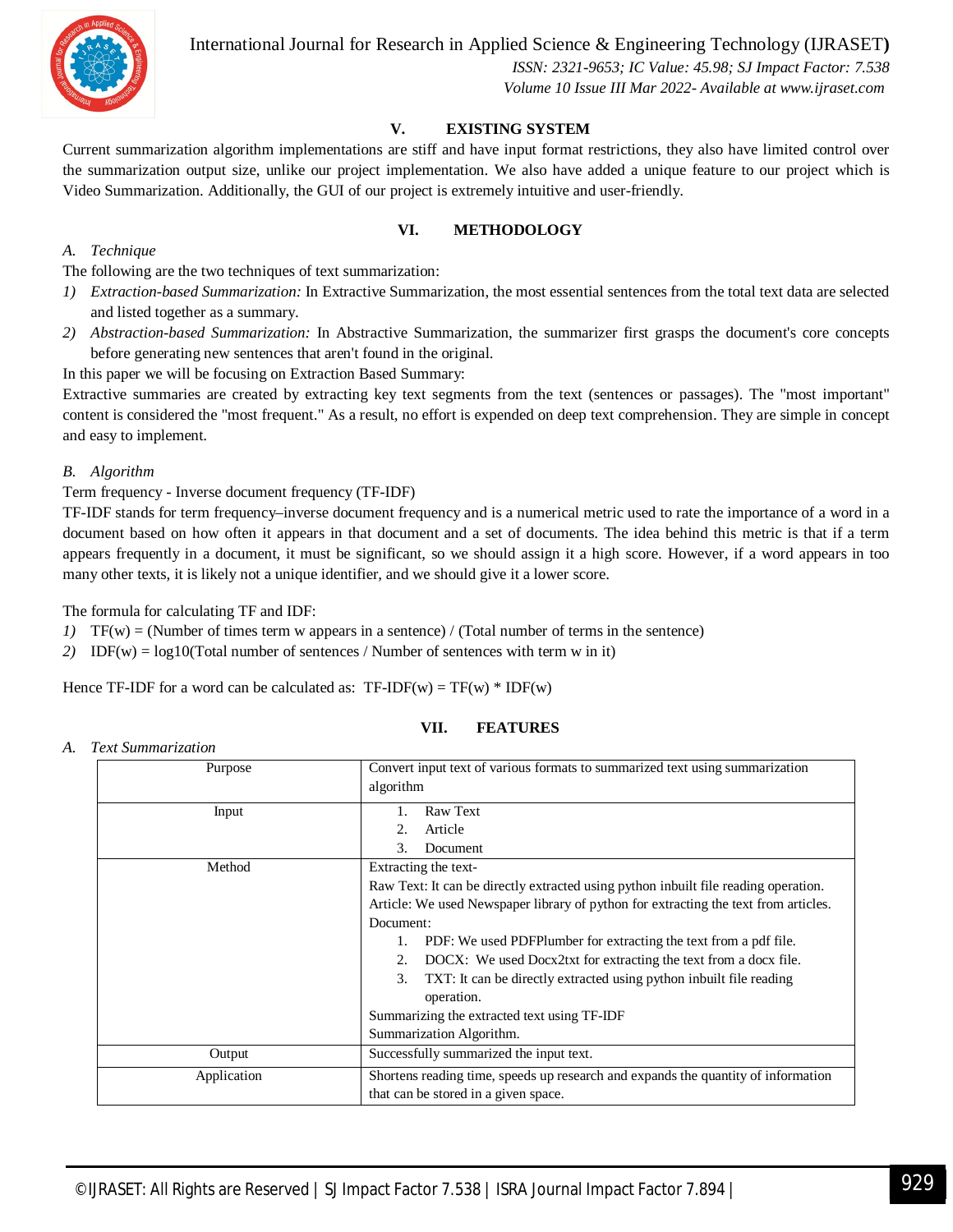

International Journal for Research in Applied Science & Engineering Technology (IJRASET**)**

 *ISSN: 2321-9653; IC Value: 45.98; SJ Impact Factor: 7.538 Volume 10 Issue III Mar 2022- Available at www.ijraset.com*

#### **V. EXISTING SYSTEM**

Current summarization algorithm implementations are stiff and have input format restrictions, they also have limited control over the summarization output size, unlike our project implementation. We also have added a unique feature to our project which is Video Summarization. Additionally, the GUI of our project is extremely intuitive and user-friendly.

#### **VI. METHODOLOGY**

#### *A. Technique*

The following are the two techniques of text summarization:

- *1) Extraction-based Summarization:* In Extractive Summarization, the most essential sentences from the total text data are selected and listed together as a summary.
- *2) Abstraction-based Summarization:* In Abstractive Summarization, the summarizer first grasps the document's core concepts before generating new sentences that aren't found in the original.

In this paper we will be focusing on Extraction Based Summary:

Extractive summaries are created by extracting key text segments from the text (sentences or passages). The "most important" content is considered the "most frequent." As a result, no effort is expended on deep text comprehension. They are simple in concept and easy to implement.

#### *B. Algorithm*

#### Term frequency - Inverse document frequency (TF-IDF)

TF-IDF stands for term frequency–inverse document frequency and is a numerical metric used to rate the importance of a word in a document based on how often it appears in that document and a set of documents. The idea behind this metric is that if a term appears frequently in a document, it must be significant, so we should assign it a high score. However, if a word appears in too many other texts, it is likely not a unique identifier, and we should give it a lower score.

The formula for calculating TF and IDF:

- *1)* TF(w) = (Number of times term w appears in a sentence) / (Total number of terms in the sentence)
- *2)* IDF(w) = log10(Total number of sentences / Number of sentences with term w in it)

Hence TF-IDF for a word can be calculated as:  $TF-IDF(w) = TF(w) * IDF(w)$ 

#### **VII. FEATURES**

*A. Text Summarization*

| Purpose     | Convert input text of various formats to summarized text using summarization        |
|-------------|-------------------------------------------------------------------------------------|
|             | algorithm                                                                           |
| Input       | Raw Text                                                                            |
|             | Article                                                                             |
|             | Document<br>3.                                                                      |
| Method      | Extracting the text-                                                                |
|             | Raw Text: It can be directly extracted using python inbuilt file reading operation. |
|             | Article: We used Newspaper library of python for extracting the text from articles. |
|             | Document:                                                                           |
|             | PDF: We used PDFPlumber for extracting the text from a pdf file.<br>1.              |
|             | DOCX: We used Docx2txt for extracting the text from a docx file.<br>2.              |
|             | TXT: It can be directly extracted using python inbuilt file reading<br>3.           |
|             | operation.                                                                          |
|             | Summarizing the extracted text using TF-IDF                                         |
|             | Summarization Algorithm.                                                            |
| Output      | Successfully summarized the input text.                                             |
| Application | Shortens reading time, speeds up research and expands the quantity of information   |
|             | that can be stored in a given space.                                                |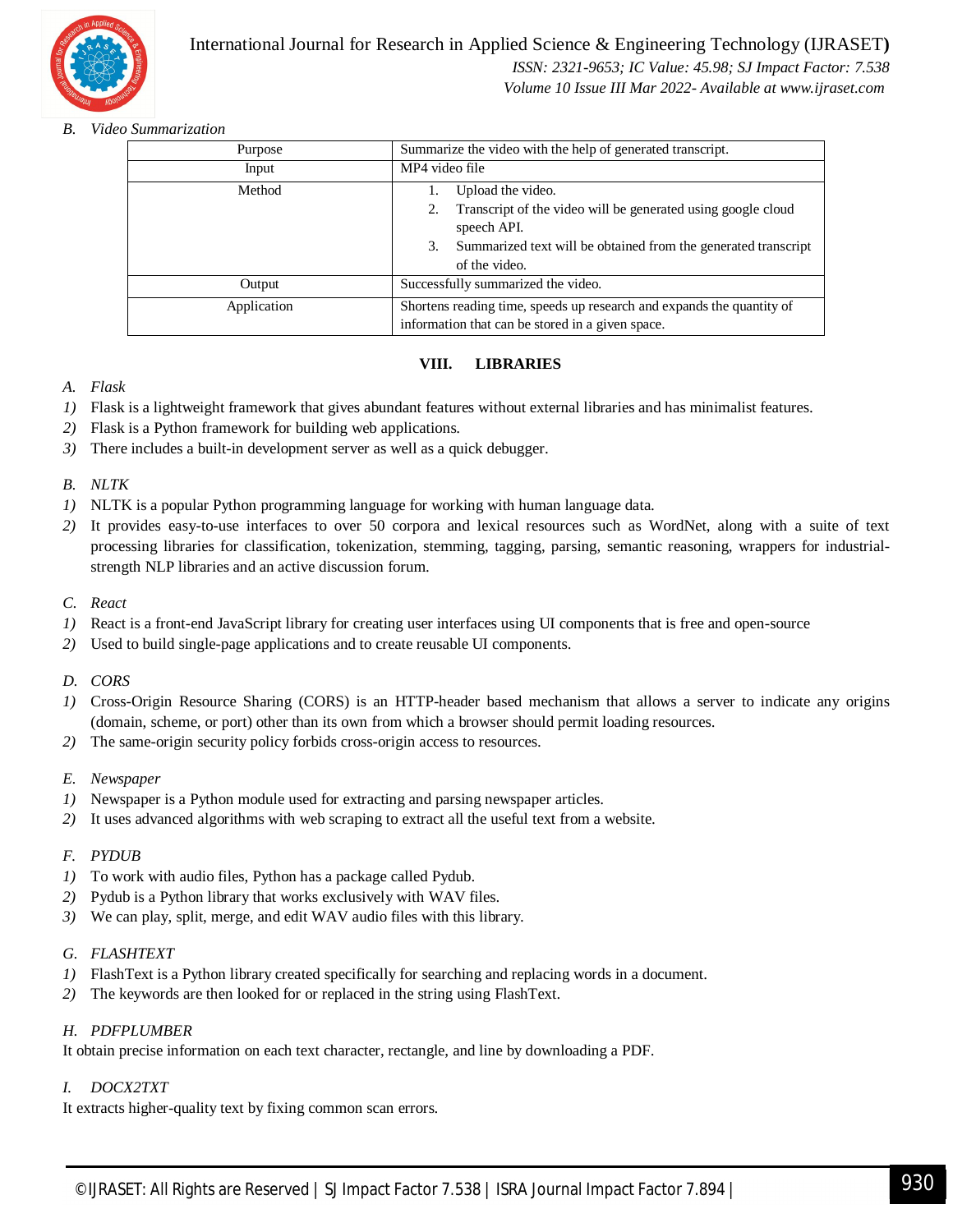

#### International Journal for Research in Applied Science & Engineering Technology (IJRASET**)**  *ISSN: 2321-9653; IC Value: 45.98; SJ Impact Factor: 7.538*

 *Volume 10 Issue III Mar 2022- Available at www.ijraset.com*

#### *B. Video Summarization*

| Purpose     | Summarize the video with the help of generated transcript.                                                                                                                                |
|-------------|-------------------------------------------------------------------------------------------------------------------------------------------------------------------------------------------|
| Input       | MP4 video file                                                                                                                                                                            |
| Method      | Upload the video.<br>Transcript of the video will be generated using google cloud<br>speech API.<br>Summarized text will be obtained from the generated transcript<br>3.<br>of the video. |
| Output      | Successfully summarized the video.                                                                                                                                                        |
| Application | Shortens reading time, speeds up research and expands the quantity of<br>information that can be stored in a given space.                                                                 |

#### **VIII. LIBRARIES**

- *A. Flask*
- *1)* Flask is a lightweight framework that gives abundant features without external libraries and has minimalist features.
- *2)* Flask is a Python framework for building web applications.
- *3)* There includes a built-in development server as well as a quick debugger.

#### *B. NLTK*

- *1)* NLTK is a popular Python programming language for working with human language data.
- *2)* It provides easy-to-use interfaces to over 50 corpora and lexical resources such as WordNet, along with a suite of text processing libraries for classification, tokenization, stemming, tagging, parsing, semantic reasoning, wrappers for industrialstrength NLP libraries and an active discussion forum.

#### *C. React*

- *1)* React is a front-end JavaScript library for creating user interfaces using UI components that is free and open-source
- *2)* Used to build single-page applications and to create reusable UI components.

#### *D. CORS*

- *1)* Cross-Origin Resource Sharing (CORS) is an HTTP-header based mechanism that allows a server to indicate any origins (domain, scheme, or port) other than its own from which a browser should permit loading resources.
- *2)* The same-origin security policy forbids cross-origin access to resources.
- *E. Newspaper*
- *1)* Newspaper is a Python module used for extracting and parsing newspaper articles.
- *2)* It uses advanced algorithms with web scraping to extract all the useful text from a website.

#### *F. PYDUB*

- *1)* To work with audio files, Python has a package called Pydub.
- *2)* Pydub is a Python library that works exclusively with WAV files.
- *3)* We can play, split, merge, and edit WAV audio files with this library.

#### *G. FLASHTEXT*

- *1)* FlashText is a Python library created specifically for searching and replacing words in a document.
- *2)* The keywords are then looked for or replaced in the string using FlashText.

#### *H. PDFPLUMBER*

It obtain precise information on each text character, rectangle, and line by downloading a PDF.

#### *I. DOCX2TXT*

It extracts higher-quality text by fixing common scan errors.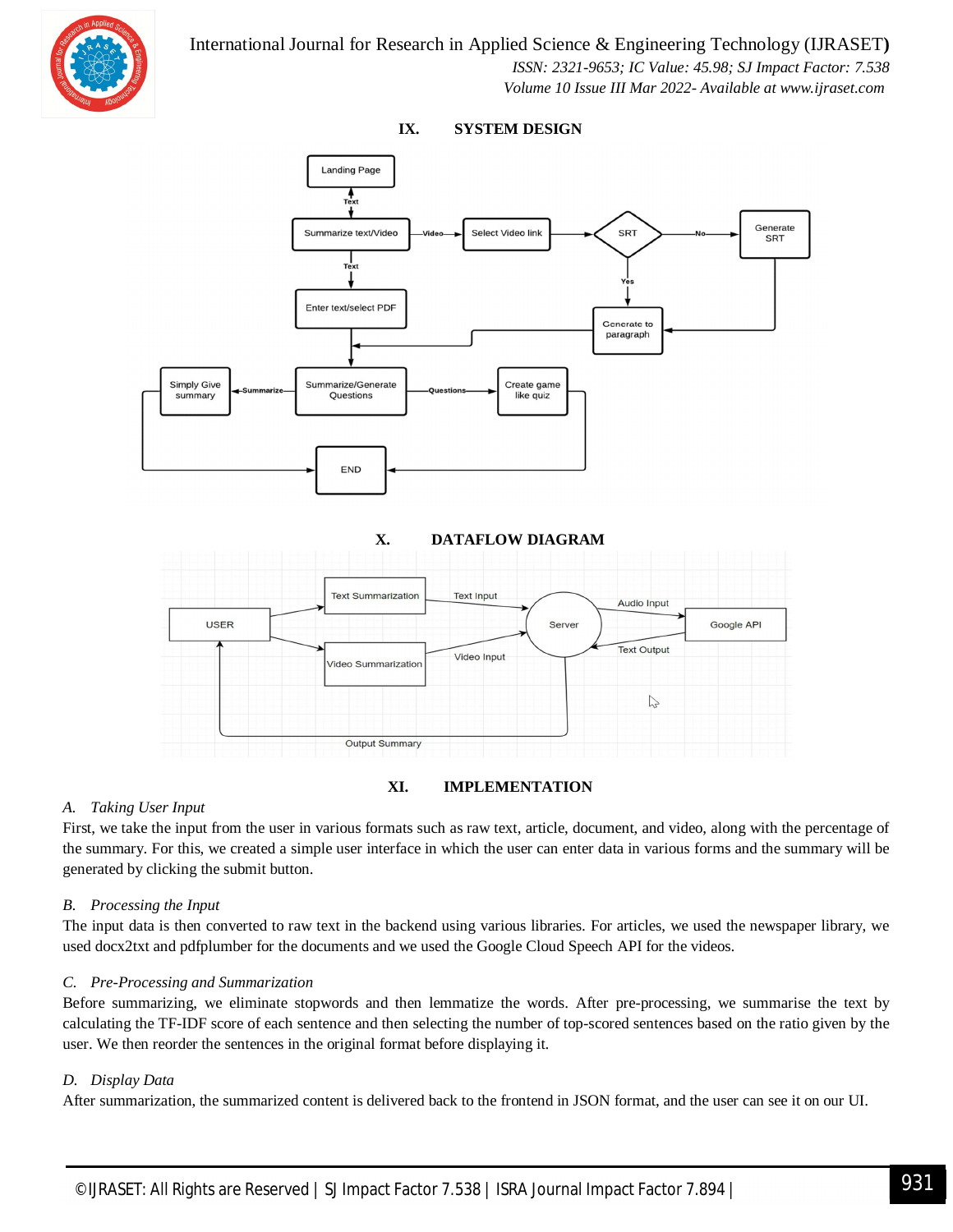



#### **IX. SYSTEM DESIGN**



#### *A. Taking User Input*

First, we take the input from the user in various formats such as raw text, article, document, and video, along with the percentage of the summary. For this, we created a simple user interface in which the user can enter data in various forms and the summary will be generated by clicking the submit button.

#### *B. Processing the Input*

The input data is then converted to raw text in the backend using various libraries. For articles, we used the newspaper library, we used docx2txt and pdfplumber for the documents and we used the Google Cloud Speech API for the videos.

#### *C. Pre-Processing and Summarization*

Before summarizing, we eliminate stopwords and then lemmatize the words. After pre-processing, we summarise the text by calculating the TF-IDF score of each sentence and then selecting the number of top-scored sentences based on the ratio given by the user. We then reorder the sentences in the original format before displaying it.

#### *D. Display Data*

After summarization, the summarized content is delivered back to the frontend in JSON format, and the user can see it on our UI.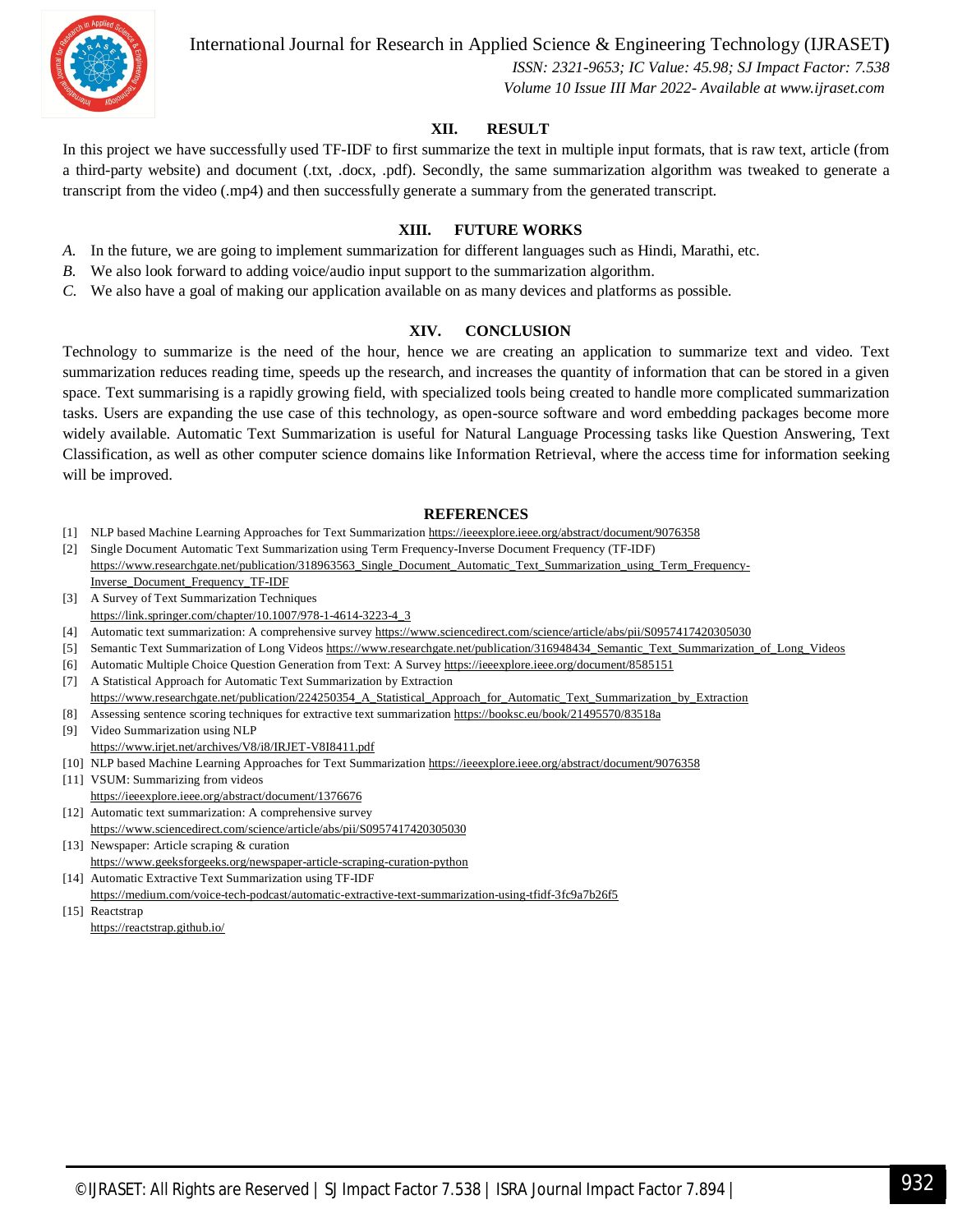

International Journal for Research in Applied Science & Engineering Technology (IJRASET**)**

 *ISSN: 2321-9653; IC Value: 45.98; SJ Impact Factor: 7.538 Volume 10 Issue III Mar 2022- Available at www.ijraset.com*

#### **XII. RESULT**

In this project we have successfully used TF-IDF to first summarize the text in multiple input formats, that is raw text, article (from a third-party website) and document (.txt, .docx, .pdf). Secondly, the same summarization algorithm was tweaked to generate a transcript from the video (.mp4) and then successfully generate a summary from the generated transcript.

#### **XIII. FUTURE WORKS**

- *A.* In the future, we are going to implement summarization for different languages such as Hindi, Marathi, etc.
- *B.* We also look forward to adding voice/audio input support to the summarization algorithm.
- *C.* We also have a goal of making our application available on as many devices and platforms as possible.

#### **XIV. CONCLUSION**

Technology to summarize is the need of the hour, hence we are creating an application to summarize text and video. Text summarization reduces reading time, speeds up the research, and increases the quantity of information that can be stored in a given space. Text summarising is a rapidly growing field, with specialized tools being created to handle more complicated summarization tasks. Users are expanding the use case of this technology, as open-source software and word embedding packages become more widely available. Automatic Text Summarization is useful for Natural Language Processing tasks like Question Answering, Text Classification, as well as other computer science domains like Information Retrieval, where the access time for information seeking will be improved.

#### **REFERENCES**

- [1] NLP based Machine Learning Approaches for Text Summarization https://ieeexplore.ieee.org/abstract/document/9076358
- [2] Single Document Automatic Text Summarization using Term Frequency-Inverse Document Frequency (TF-IDF)
- https://www.researchgate.net/publication/318963563\_Single\_Document\_Automatic\_Text\_Summarization\_using\_Term\_Frequency-Inverse\_Document\_Frequency\_TF-IDF
- [3] A Survey of Text Summarization Techniques https://link.springer.com/chapter/10.1007/978-1-4614-3223-4\_3
- [4] Automatic text summarization: A comprehensive survey https://www.sciencedirect.com/science/article/abs/pii/S0957417420305030
- [5] Semantic Text Summarization of Long Videos https://www.researchgate.net/publication/316948434\_Semantic\_Text\_Summarization\_of\_Long\_Videos
- [6] Automatic Multiple Choice Question Generation from Text: A Survey https://ieeexplore.ieee.org/document/8585151
- [7] A Statistical Approach for Automatic Text Summarization by Extraction https://www.researchgate.net/publication/224250354\_A\_Statistical\_Approach\_for\_Automatic\_Text\_Summarization\_by\_Extraction
- [8] Assessing sentence scoring techniques for extractive text summarization https://booksc.eu/book/21495570/83518a
- [9] Video Summarization using NLP https://www.irjet.net/archives/V8/i8/IRJET-V8I8411.pdf

[10] NLP based Machine Learning Approaches for Text Summarization https://ieeexplore.ieee.org/abstract/document/9076358

- [11] VSUM: Summarizing from videos https://ieeexplore.ieee.org/abstract/document/1376676
- [12] Automatic text summarization: A comprehensive survey
- https://www.sciencedirect.com/science/article/abs/pii/S0957417420305030
- [13] Newspaper: Article scraping & curation https://www.geeksforgeeks.org/newspaper-article-scraping-curation-python
- [14] Automatic Extractive Text Summarization using TF-IDF

https://medium.com/voice-tech-podcast/automatic-extractive-text-summarization-using-tfidf-3fc9a7b26f5

[15] Reactstrap

https://reactstrap.github.io/